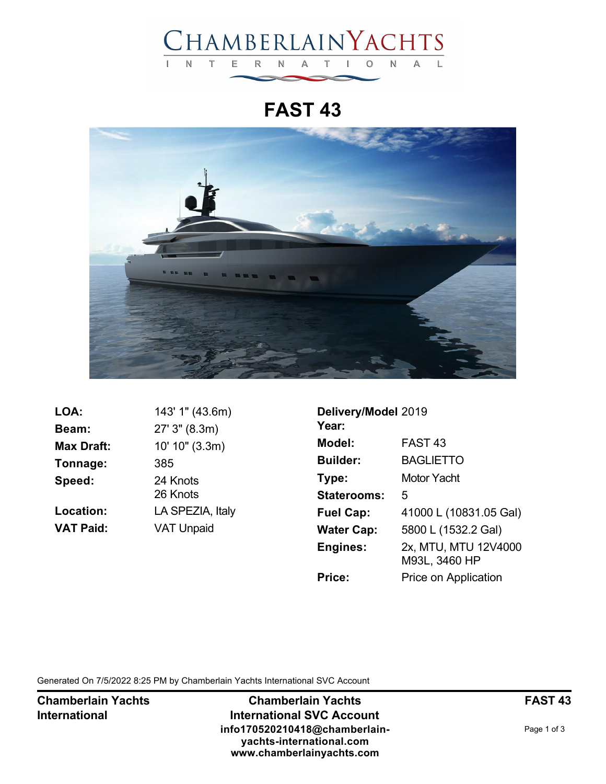

**FAST 43**



| 143' 1" (43.6m)      |
|----------------------|
| 27' 3" (8.3m)        |
| 10' 10" (3.3m)       |
| 385                  |
| 24 Knots<br>26 Knots |
| LA SPEZIA, Italy     |
| <b>VAT Unpaid</b>    |
|                      |

| Delivery/Model 2019<br>Year: |                                       |
|------------------------------|---------------------------------------|
| Model:                       | FAST 43                               |
| <b>Builder:</b>              | <b>BAGLIETTO</b>                      |
| Type:                        | <b>Motor Yacht</b>                    |
| <b>Staterooms:</b>           | 5                                     |
| <b>Fuel Cap:</b>             | 41000 L (10831.05 Gal)                |
| <b>Water Cap:</b>            | 5800 L (1532.2 Gal)                   |
| <b>Engines:</b>              | 2x, MTU, MTU 12V4000<br>M93L, 3460 HP |
| <b>Price:</b>                | Price on Application                  |

Generated On 7/5/2022 8:25 PM by Chamberlain Yachts International SVC Account

**Chamberlain Yachts International**

**Chamberlain Yachts International SVC Account info170520210418@chamberlainyachts-international.com www.chamberlainyachts.com**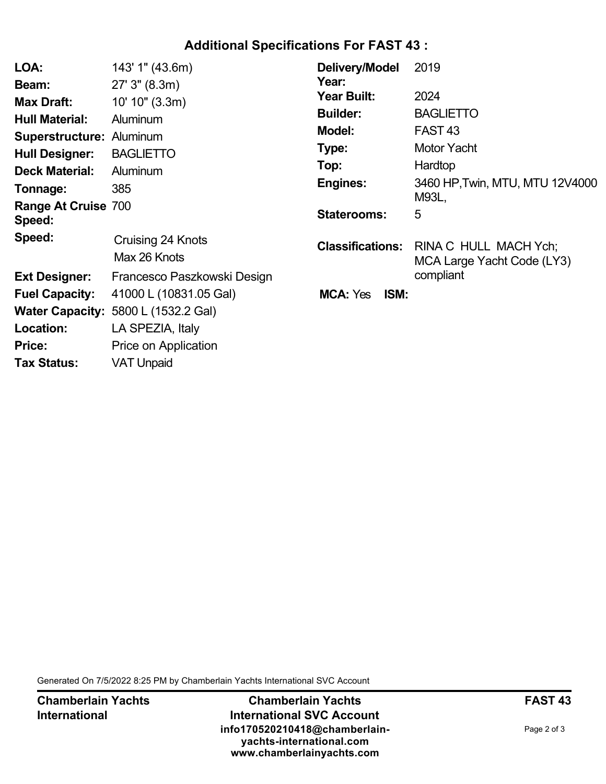## **Additional Specifications For FAST 43 :**

| LOA:                                 | 143' 1" (43.6m)                            | Delivery/Model          | 2019                                                |
|--------------------------------------|--------------------------------------------|-------------------------|-----------------------------------------------------|
| Beam:                                | $27'$ 3" (8.3m)                            | Year:                   |                                                     |
| <b>Max Draft:</b>                    | 10' 10" (3.3m)                             | Year Built:             | 2024                                                |
| <b>Hull Material:</b>                | <b>Aluminum</b>                            | <b>Builder:</b>         | <b>BAGLIETTO</b>                                    |
| <b>Superstructure: Aluminum</b>      |                                            | <b>Model:</b>           | FAST <sub>43</sub>                                  |
| <b>Hull Designer:</b>                | <b>BAGLIETTO</b>                           | Type:                   | <b>Motor Yacht</b>                                  |
| <b>Deck Material:</b>                | Aluminum                                   | Top:                    | Hardtop                                             |
| Tonnage:                             | 385                                        | <b>Engines:</b>         | 3460 HP, Twin, MTU, MTU 12V4000                     |
| <b>Range At Cruise 700</b><br>Speed: |                                            | <b>Staterooms:</b>      | M93L,<br>5                                          |
| Speed:                               | Cruising 24 Knots<br>Max 26 Knots          | <b>Classifications:</b> | RINA C HULL MACH Ych;<br>MCA Large Yacht Code (LY3) |
| <b>Ext Designer:</b>                 | Francesco Paszkowski Design                |                         | compliant                                           |
| <b>Fuel Capacity:</b>                | 41000 L (10831.05 Gal)                     | <b>MCA: Yes</b><br>ISM: |                                                     |
|                                      | <b>Water Capacity: 5800 L (1532.2 Gal)</b> |                         |                                                     |
| Location:                            | LA SPEZIA, Italy                           |                         |                                                     |
| Price:                               | Price on Application                       |                         |                                                     |
| <b>Tax Status:</b>                   | <b>VAT Unpaid</b>                          |                         |                                                     |

Generated On 7/5/2022 8:25 PM by Chamberlain Yachts International SVC Account

**Chamberlain Yachts International**

**Chamberlain Yachts International SVC Account info170520210418@chamberlainyachts-international.com www.chamberlainyachts.com**